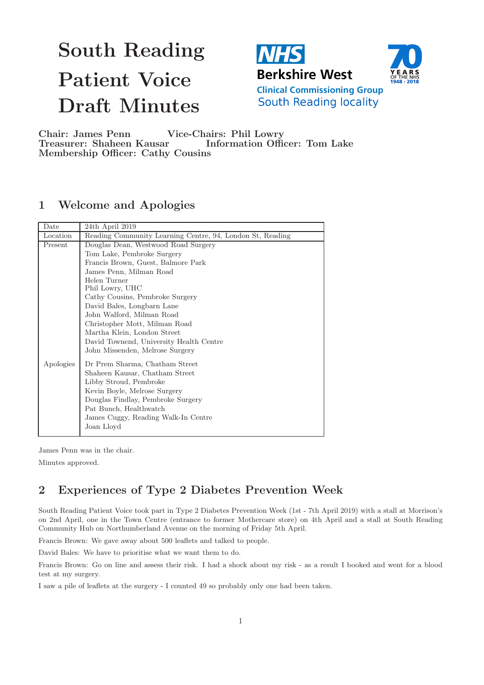# South Reading Patient Voice Draft Minutes





**Clinical Commissioning Group** South Reading locality

Chair: James Penn Vice-Chairs: Phil Lowry Treasurer: Shaheen Kausar Information Officer: Tom Lake Membership Officer: Cathy Cousins

## 1 Welcome and Apologies

| Date      | 24th April 2019                                           |
|-----------|-----------------------------------------------------------|
| Location  | Reading Community Learning Centre, 94, London St, Reading |
| Present   | Douglas Dean, Westwood Road Surgery                       |
|           | Tom Lake, Pembroke Surgery                                |
|           | Francis Brown, Guest, Balmore Park                        |
|           | James Penn, Milman Road                                   |
|           | Helen Turner<br>Phil Lowry, UHC                           |
|           | Cathy Cousins, Pembroke Surgery                           |
|           | David Bales, Longbarn Lane                                |
|           | John Walford, Milman Road                                 |
|           | Christopher Mott, Milman Road                             |
|           | Martha Klein, London Street                               |
|           | David Townend, University Health Centre                   |
|           | John Missenden, Melrose Surgery                           |
| Apologies | Dr Prem Sharma, Chatham Street                            |
|           | Shaheen Kausar, Chatham Street                            |
|           | Libby Stroud, Pembroke                                    |
|           | Kevin Boyle, Melrose Surgery                              |
|           | Douglas Findlay, Pembroke Surgery                         |
|           | Pat Bunch, Healthwatch                                    |
|           | James Cuggy, Reading Walk-In Centre                       |
|           | Joan Lloyd                                                |
|           |                                                           |

James Penn was in the chair.

Minutes approved.

## 2 Experiences of Type 2 Diabetes Prevention Week

South Reading Patient Voice took part in Type 2 Diabetes Prevention Week (1st - 7th April 2019) with a stall at Morrison's on 2nd April, one in the Town Centre (entrance to former Mothercare store) on 4th April and a stall at South Reading Community Hub on Northumberland Avenue on the morning of Friday 5th April.

Francis Brown: We gave away about 500 leaflets and talked to people.

David Bales: We have to prioritise what we want them to do.

Francis Brown: Go on line and assess their risk. I had a shock about my risk - as a result I booked and went for a blood test at my surgery.

I saw a pile of leaflets at the surgery - I counted 49 so probably only one had been taken.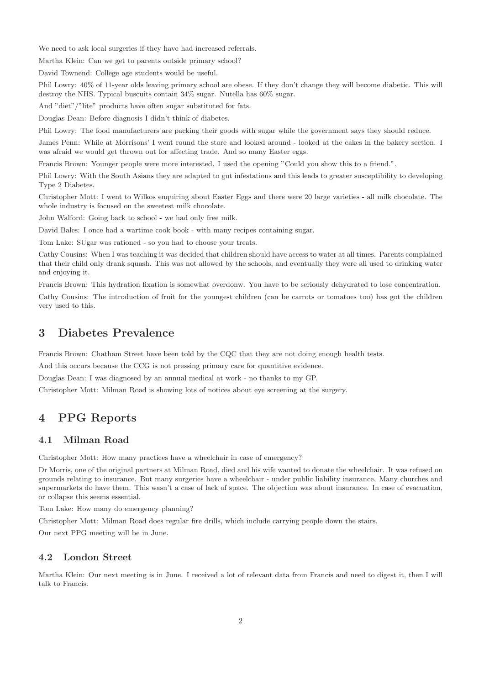We need to ask local surgeries if they have had increased referrals.

Martha Klein: Can we get to parents outside primary school?

David Townend: College age students would be useful.

Phil Lowry: 40% of 11-year olds leaving primary school are obese. If they don't change they will become diabetic. This will destroy the NHS. Typical buscuits contain 34% sugar. Nutella has 60% sugar.

And "diet"/"lite" products have often sugar substituted for fats.

Douglas Dean: Before diagnosis I didn't think of diabetes.

Phil Lowry: The food manufacturers are packing their goods with sugar while the government says they should reduce.

James Penn: While at Morrisons' I went round the store and looked around - looked at the cakes in the bakery section. I was afraid we would get thrown out for affecting trade. And so many Easter eggs.

Francis Brown: Younger people were more interested. I used the opening "Could you show this to a friend.".

Phil Lowry: With the South Asians they are adapted to gut infestations and this leads to greater susceptibility to developing Type 2 Diabetes.

Christopher Mott: I went to Wilkos enquiring about Easter Eggs and there were 20 large varieties - all milk chocolate. The whole industry is focused on the sweetest milk chocolate.

John Walford: Going back to school - we had only free milk.

David Bales: I once had a wartime cook book - with many recipes containing sugar.

Tom Lake: SUgar was rationed - so you had to choose your treats.

Cathy Cousins: When I was teaching it was decided that children should have access to water at all times. Parents complained that their child only drank squash. This was not allowed by the schools, and eventually they were all used to drinking water and enjoying it.

Francis Brown: This hydration fixation is somewhat overdonw. You have to be seriously dehydrated to lose concentration.

Cathy Cousins: The introduction of fruit for the youngest children (can be carrots or tomatoes too) has got the children very used to this.

## 3 Diabetes Prevalence

Francis Brown: Chatham Street have been told by the CQC that they are not doing enough health tests.

And this occurs because the CCG is not pressing primary care for quantitive evidence.

Douglas Dean: I was diagnosed by an annual medical at work - no thanks to my GP.

Christopher Mott: Milman Road is showing lots of notices about eye screening at the surgery.

## 4 PPG Reports

#### 4.1 Milman Road

Christopher Mott: How many practices have a wheelchair in case of emergency?

Dr Morris, one of the original partners at Milman Road, died and his wife wanted to donate the wheelchair. It was refused on grounds relating to insurance. But many surgeries have a wheelchair - under public liability insurance. Many churches and supermarkets do have them. This wasn't a case of lack of space. The objection was about insurance. In case of evacuation, or collapse this seems essential.

Tom Lake: How many do emergency planning?

Christopher Mott: Milman Road does regular fire drills, which include carrying people down the stairs.

Our next PPG meeting will be in June.

### 4.2 London Street

Martha Klein: Our next meeting is in June. I received a lot of relevant data from Francis and need to digest it, then I will talk to Francis.